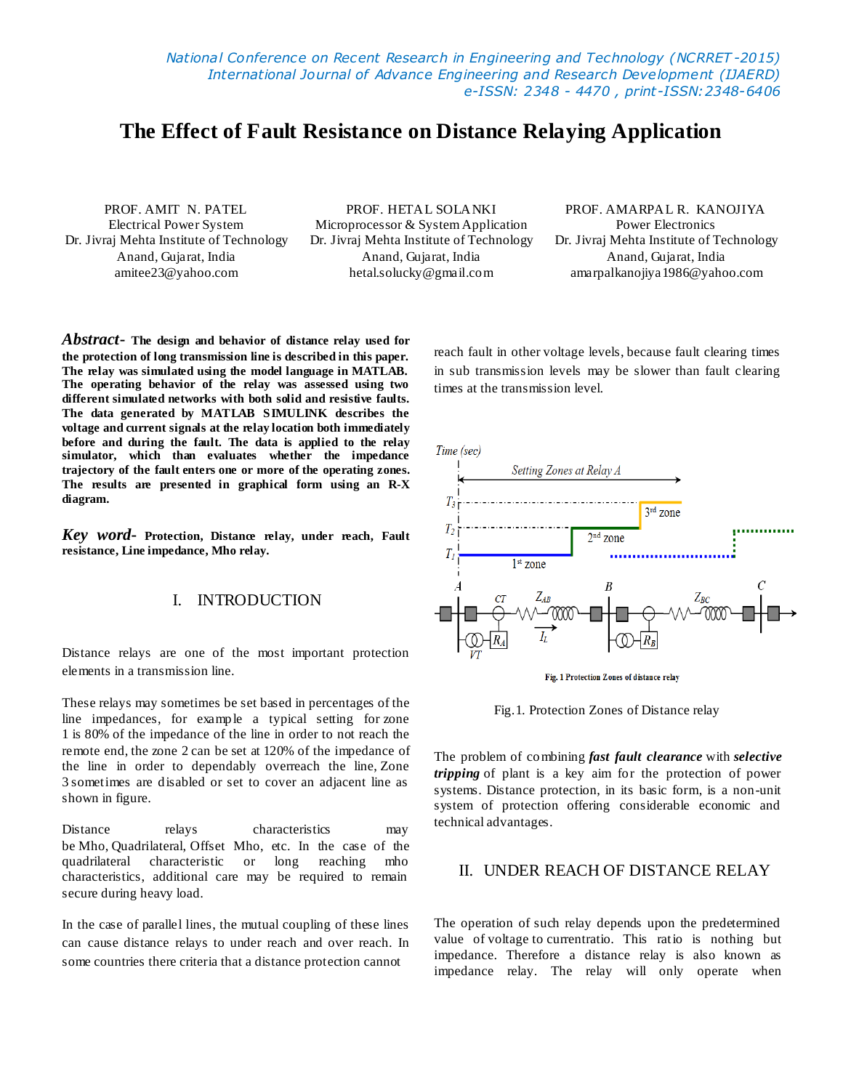*National Conference on Recent Research in Engineering and Technology (NCRRET -2015) International Journal of Advance Engineering and Research Development (IJAERD) e-ISSN: 2348 - 4470 , print-ISSN:2348-6406*

# **The Effect of Fault Resistance on Distance Relaying Application**

PROF. AMIT N. PATEL PROF. HETAL SOLANKI PROF. AMARPAL R. KANOJIYA Electrical Power System Microprocessor & System Application Power Electronics Dr. Jivraj Mehta Institute of Technology Dr. Jivraj Mehta Institute of Technology Dr. Jivraj Mehta Institute of Technology Anand, Gujarat, India Anand, Gujarat, India Anand, Gujarat, India amitee23@yahoo.com hetal.solucky@gmail.com amarpalkanojiya1986@yahoo.com

*Abstract***- The design and behavior of distance relay used for the protection of long transmission line is described in this paper. The relay was simulated using the model language in MATLAB. The operating behavior of the relay was assessed using two different simulated networks with both solid and resistive faults. The data generated by MATLAB SIMULINK describes the voltage and current signals at the relay location both immediately before and during the fault. The data is applied to the relay simulator, which than evaluates whether the impedance trajectory of the fault enters one or more of the operating zones. The results are presented in graphical form using an R-X diagram.**

*Key word***- Protection, Distance relay, under reach, Fault resistance, Line impedance, Mho relay.**

#### I. INTRODUCTION

Distance relays are one of the most important protection elements in a transmission line.

These relays may sometimes be set based in percentages of the line impedances, for example a typical setting for zone 1 is 80% of the impedance of the line in order to not reach the remote end, the zone 2 can be set at 120% of the impedance of the line in order to dependably overreach the line, Zone 3 sometimes are disabled or set to cover an adjacent line as shown in figure.

Distance relays characteristics may be Mho, Quadrilateral, Offset Mho, etc. In the case of the quadrilateral characteristic or long reaching mho characteristics, additional care may be required to remain secure during heavy load.

In the case of parallel lines, the mutual coupling of these lines can cause distance relays to under reach and over reach. In some countries there criteria that a distance protection cannot

reach fault in other voltage levels, because fault clearing times in sub transmission levels may be slower than fault clearing times at the transmission level.







The problem of combining *fast fault clearance* with *selective tripping* of plant is a key aim for the protection of power systems. Distance protection, in its basic form, is a non-unit system of protection offering considerable economic and technical advantages.

## II. UNDER REACH OF DISTANCE RELAY

The operation of such relay depends upon the predetermined value of [voltage](http://www.electrical4u.com/voltage-or-electric-potential-difference/) to [currentr](http://www.electrical4u.com/electric-current-and-theory-of-electricity/)atio. This ratio is nothing but impedance. Therefore a distance relay is also known as impedance relay. The relay will only operate when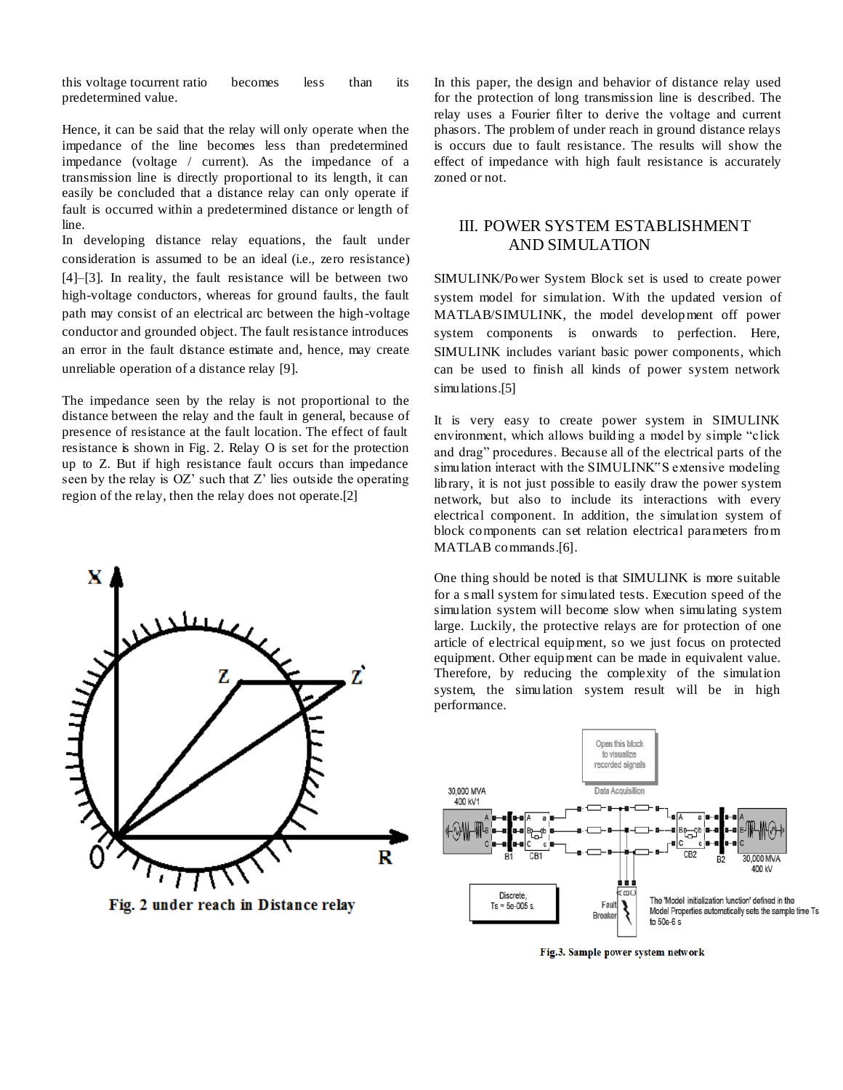this [voltage](http://www.electrical4u.com/voltage-or-electric-potential-difference/) t[ocurrent](http://www.electrical4u.com/electric-current-and-theory-of-electricity/) ratio becomes less than its predetermined value.

Hence, it can be said that the relay will only operate when the impedance of the line becomes less than predetermined impedance (voltage / current). As the impedance of a transmission line is directly proportional to its length, it can easily be concluded that a distance relay can only operate if fault is occurred within a predetermined distance or length of line.

In developing distance relay equations, the fault under consideration is assumed to be an ideal (i.e., zero resistance) [4]–[3]. In reality, the fault resistance will be between two high-voltage conductors, whereas for ground faults, the fault path may consist of an electrical arc between the high-voltage conductor and grounded object. The fault resistance introduces an error in the fault distance estimate and, hence, may create unreliable operation of a distance relay [9].

The impedance seen by the relay is not proportional to the distance between the relay and the fault in general, because of presence of resistance at the fault location. The effect of fault resistance is shown in Fig. 2. Relay O is set for the protection up to Z. But if high resistance fault occurs than impedance seen by the relay is  $OZ'$  such that  $Z'$  lies outside the operating region of the relay, then the relay does not operate.[2]



Fig. 2 under reach in Distance relay

In this paper, the design and behavior of distance relay used for the protection of long transmission line is described. The relay uses a Fourier filter to derive the voltage and current phasors. The problem of under reach in ground distance relays is occurs due to fault resistance. The results will show the effect of impedance with high fault resistance is accurately zoned or not.

### III. POWER SYSTEM ESTABLISHMENT AND SIMULATION

SIMULINK/Power System Block set is used to create power system model for simulation. With the updated version of MATLAB/SIMULINK, the model development off power system components is onwards to perfection. Here, SIMULINK includes variant basic power components, which can be used to finish all kinds of power system network simulations.[5]

It is very easy to create power system in SIMULINK environment, which allows building a model by simple "click and drag" procedures. Because all of the electrical parts of the simulation interact with the SIMULINK"S extensive modeling library, it is not just possible to easily draw the power system network, but also to include its interactions with every electrical component. In addition, the simulation system of block components can set relation electrical parameters from MATLAB commands.[6].

One thing should be noted is that SIMULINK is more suitable for a s mall system for simulated tests. Execution speed of the simulation system will become slow when simulating system large. Luckily, the protective relays are for protection of one article of electrical equipment, so we just focus on protected equipment. Other equipment can be made in equivalent value. Therefore, by reducing the complexity of the simulation system, the simulation system result will be in high performance.



Fig.3. Sample power system network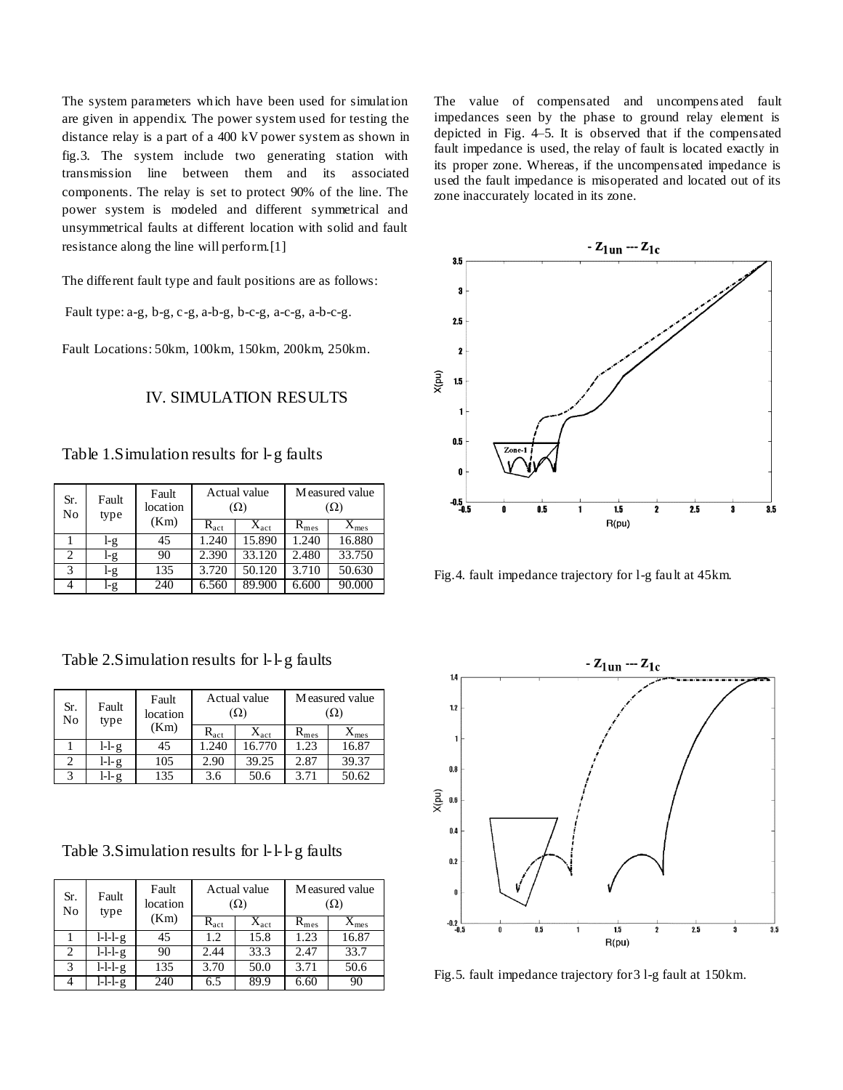The system parameters which have been used for simulation are given in appendix. The power system used for testing the distance relay is a part of a 400 kV power system as shown in fig.3. The system include two generating station with transmission line between them and its associated components. The relay is set to protect 90% of the line. The power system is modeled and different symmetrical and unsymmetrical faults at different location with solid and fault resistance along the line will perform.[1]

The different fault type and fault positions are as follows:

Fault type: a-g, b-g, c-g, a-b-g, b-c-g, a-c-g, a-b-c-g.

Fault Locations: 50km, 100km, 150km, 200km, 250km.

### IV. SIMULATION RESULTS

Table 1.Simulation results for l-g faults

| Sr.<br>No | Fault<br>type | Fault<br>location<br>(Km) | Actual value<br>$(\Omega)$ |                  | Measured value<br>(Ω) |               |
|-----------|---------------|---------------------------|----------------------------|------------------|-----------------------|---------------|
|           |               |                           | $R_{act}$                  | $X_{\text{act}}$ | $R_{mes}$             | $X_{\rm mes}$ |
|           | l-g           | 45                        | 1.240                      | 15.890           | 1.240                 | 16.880        |
| 2         | l-g           | 90                        | 2.390                      | 33.120           | 2.480                 | 33.750        |
| 3         | l-g           | 135                       | 3.720                      | 50.120           | 3.710                 | 50.630        |
|           | l-g           | 240                       | 6.560                      | 89.900           | 6.600                 | 90.000        |

Table 2.Simulation results for l-l-g faults

| Sr.<br>No | Fault<br>type | Fault<br>location<br>(Km) | Actual value<br>$(\Omega)$ |               | Measured value<br>$(\Omega)$ |                        |
|-----------|---------------|---------------------------|----------------------------|---------------|------------------------------|------------------------|
|           |               |                           | $R_{act}$                  | $X_{\rm act}$ | $\rm R_{mes}$                | $\Lambda_{\text{mes}}$ |
|           | $l-l-g$       | 45                        | 1.240                      | 16.770        | 1.23                         | 16.87                  |
|           | $l-l-g$       | 105                       | 2.90                       | 39.25         | 2.87                         | 39.37                  |
|           | $l-lg$        | 135                       | 3.6                        | 50.6          | 3.71                         | 50.62                  |

| Sr.<br>No | Fault<br>type       | Fault<br>location<br>(Km) | Actual value<br>$(\Omega)$ |                  | Measured value<br>$(\Omega)$ |                     |
|-----------|---------------------|---------------------------|----------------------------|------------------|------------------------------|---------------------|
|           |                     |                           | $R_{act}$                  | $X_{\text{act}}$ | $R_{mes}$                    | $\Lambda_{\rm mes}$ |
|           | $l-l-\g$            | 45                        | 1.2                        | 15.8             | 1.23                         | 16.87               |
|           | $\overline{L}$ -l-g | 90                        | 2.44                       | 33.3             | 2.47                         | 33.7                |
| 3         | $l-l-\g$            | 135                       | 3.70                       | 50.0             | 3.71                         | 50.6                |
|           | $l-l-l$             | 240                       | 6.5                        | 89.9             | 6.60                         | 90                  |

The value of compensated and uncompens ated fault impedances seen by the phase to ground relay element is depicted in Fig. 4–5. It is observed that if the compensated fault impedance is used, the relay of fault is located exactly in its proper zone. Whereas, if the uncompensated impedance is used the fault impedance is misoperated and located out of its zone inaccurately located in its zone.



Fig.4. fault impedance trajectory for l-g fault at 45km.



Fig.5. fault impedance trajectory for3 l-g fault at 150km.